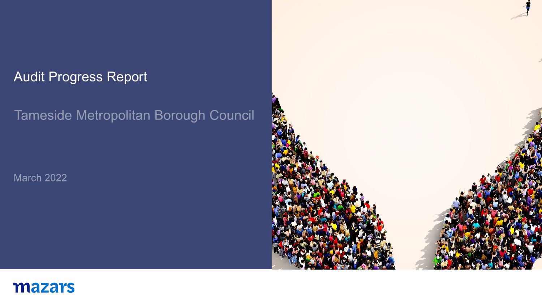### Audit Progress Report

## Tameside Metropolitan Borough Council

**March 2022** 



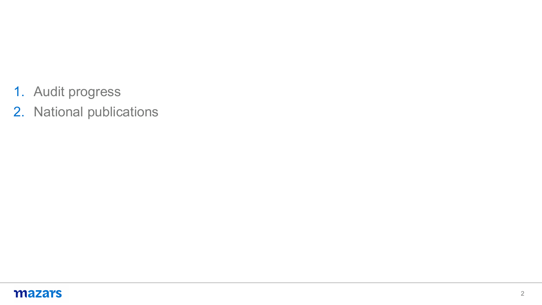- 1. Audit progress
- 2. National publications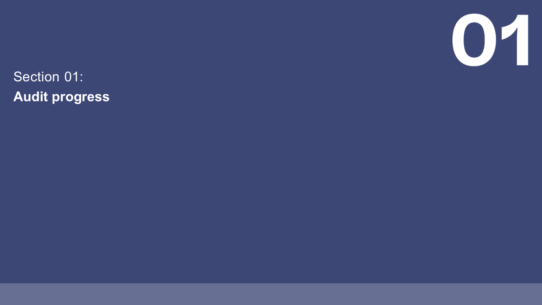

Section 01: **Audit progress**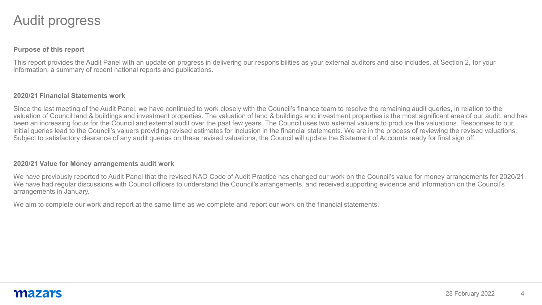### Audit progress

#### **Purpose of this report**

This report provides the Audit Panel with an update on progress in delivering our responsibilities as your external auditors and also includes, at Section 2, for your information, a summary of recent national reports and publications.

#### **2020/21 Financial Statements work**

Since the last meeting of the Audit Panel, we have continued to work closely with the Council's finance team to resolve the remaining audit queries, in relation to the valuation of Council land & buildings and investment properties. The valuation of land & buildings and investment properties is the most significant area of our audit, and has been an increasing focus for the Council and external audit over the past few years. The Council uses two external valuers to produce the valuations. Responses to our initial queries lead to the Council's valuers providing revised estimates for inclusion in the financial statements. We are in the process of reviewing the revised valuations. Subject to satisfactory clearance of any audit queries on these revised valuations, the Council will update the Statement of Accounts ready for final sign off.

#### **2020/21 Value for Money arrangements audit work**

We have previously reported to Audit Panel that the revised NAO Code of Audit Practice has changed our work on the Council's value for money arrangements for 2020/21. We have had regular discussions with Council officers to understand the Council's arrangements, and received supporting evidence and information on the Council's arrangements in January.

We aim to complete our work and report at the same time as we complete and report our work on the financial statements.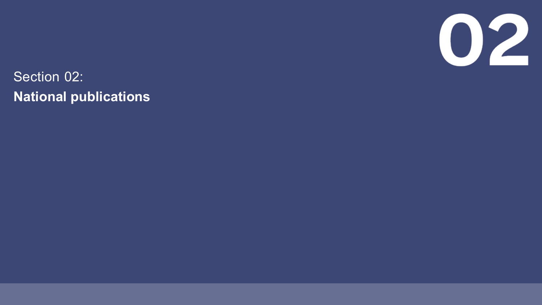

Section 02: **National publications**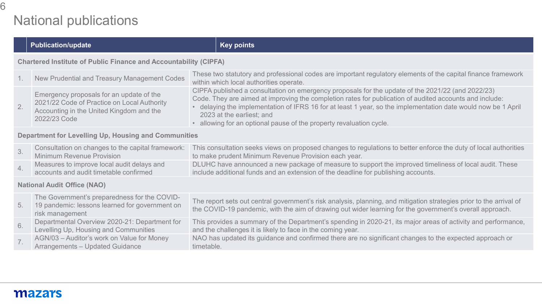## National publications

|                                                                         | <b>Publication/update</b>                                                                                                                           | <b>Key points</b>                                                                                                                                                                                                                                                                                                                                                                                                               |
|-------------------------------------------------------------------------|-----------------------------------------------------------------------------------------------------------------------------------------------------|---------------------------------------------------------------------------------------------------------------------------------------------------------------------------------------------------------------------------------------------------------------------------------------------------------------------------------------------------------------------------------------------------------------------------------|
| <b>Chartered Institute of Public Finance and Accountability (CIPFA)</b> |                                                                                                                                                     |                                                                                                                                                                                                                                                                                                                                                                                                                                 |
| $1_{\cdot}$                                                             | New Prudential and Treasury Management Codes                                                                                                        | These two statutory and professional codes are important regulatory elements of the capital finance framework<br>within which local authorities operate.                                                                                                                                                                                                                                                                        |
| 2.                                                                      | Emergency proposals for an update of the<br>2021/22 Code of Practice on Local Authority<br>Accounting in the United Kingdom and the<br>2022/23 Code | CIPFA published a consultation on emergency proposals for the update of the 2021/22 (and 2022/23)<br>Code. They are aimed at improving the completion rates for publication of audited accounts and include:<br>delaying the implementation of IFRS 16 for at least 1 year, so the implementation date would now be 1 April<br>2023 at the earliest; and<br>• allowing for an optional pause of the property revaluation cycle. |
| Department for Levelling Up, Housing and Communities                    |                                                                                                                                                     |                                                                                                                                                                                                                                                                                                                                                                                                                                 |
| 3.                                                                      | Consultation on changes to the capital framework:<br><b>Minimum Revenue Provision</b>                                                               | This consultation seeks views on proposed changes to regulations to better enforce the duty of local authorities<br>to make prudent Minimum Revenue Provision each year.                                                                                                                                                                                                                                                        |
| 4.                                                                      | Measures to improve local audit delays and<br>accounts and audit timetable confirmed                                                                | DLUHC have announced a new package of measure to support the improved timeliness of local audit. These<br>include additional funds and an extension of the deadline for publishing accounts.                                                                                                                                                                                                                                    |
| <b>National Audit Office (NAO)</b>                                      |                                                                                                                                                     |                                                                                                                                                                                                                                                                                                                                                                                                                                 |
| 5.                                                                      | The Government's preparedness for the COVID-<br>19 pandemic: lessons learned for government on<br>risk management                                   | The report sets out central government's risk analysis, planning, and mitigation strategies prior to the arrival of<br>the COVID-19 pandemic, with the aim of drawing out wider learning for the government's overall approach.                                                                                                                                                                                                 |
| 6.                                                                      | Departmental Overview 2020-21: Department for<br>Levelling Up, Housing and Communities                                                              | This provides a summary of the Department's spending in 2020-21, its major areas of activity and performance,<br>and the challenges it is likely to face in the coming year.                                                                                                                                                                                                                                                    |
| 7.                                                                      | AGN/03 - Auditor's work on Value for Money<br><b>Arrangements - Updated Guidance</b>                                                                | NAO has updated its guidance and confirmed there are no significant changes to the expected approach or<br>timetable.                                                                                                                                                                                                                                                                                                           |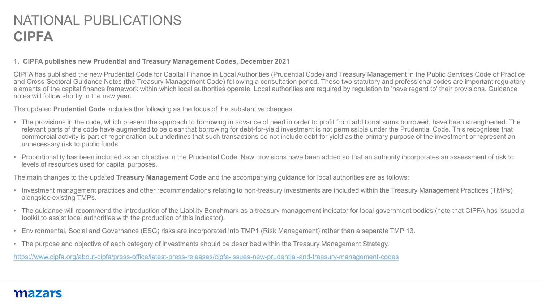# NATIONAL PUBLICATIONS **CIPFA**

#### **1. CIPFA publishes new Prudential and Treasury Management Codes, December 2021**

CIPFA has published the new Prudential Code for Capital Finance in Local Authorities (Prudential Code) and Treasury Management in the Public Services Code of Practice and Cross-Sectoral Guidance Notes (the Treasury Management Code) following a consultation period. These two statutory and professional codes are important regulatory elements of the capital finance framework within which local authorities operate. Local authorities are required by regulation to 'have regard to' their provisions. Guidance notes will follow shortly in the new year.

The updated **Prudential Code** includes the following as the focus of the substantive changes:

- The provisions in the code, which present the approach to borrowing in advance of need in order to profit from additional sums borrowed, have been strengthened. The relevant parts of the code have augmented to be clear that borrowing for debt-for-yield investment is not permissible under the Prudential Code. This recognises that commercial activity is part of regeneration but underlines that such transactions do not include debt-for yield as the primary purpose of the investment or represent an unnecessary risk to public funds.
- Proportionality has been included as an objective in the Prudential Code. New provisions have been added so that an authority incorporates an assessment of risk to levels of resources used for capital purposes.

The main changes to the updated **Treasury Management Code** and the accompanying guidance for local authorities are as follows:

- Investment management practices and other recommendations relating to non-treasury investments are included within the Treasury Management Practices (TMPs) alongside existing TMPs.
- The guidance will recommend the introduction of the Liability Benchmark as a treasury management indicator for local government bodies (note that CIPFA has issued a toolkit to assist local authorities with the production of this indicator).
- Environmental, Social and Governance (ESG) risks are incorporated into TMP1 (Risk Management) rather than a separate TMP 13.
- The purpose and objective of each category of investments should be described within the Treasury Management Strategy.

<https://www.cipfa.org/about-cipfa/press-office/latest-press-releases/cipfa-issues-new-prudential-and-treasury-management-codes>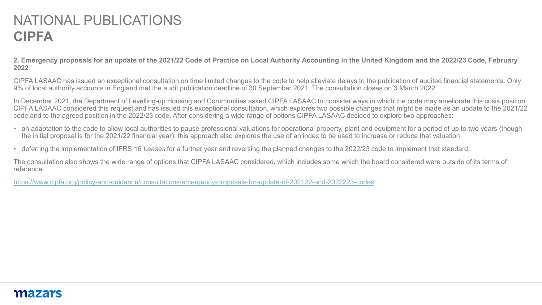# NATIONAL PUBLICATIONS **CIPFA**

**2. Emergency proposals for an update of the 2021/22 Code of Practice on Local Authority Accounting in the United Kingdom and the 2022/23 Code, February 2022**

CIPFA LASAAC has issued an exceptional consultation on time limited changes to the code to help alleviate delays to the publication of audited financial statements. Only 9% of local authority accounts in England met the audit publication deadline of 30 September 2021. The consultation closes on 3 March 2022.

In December 2021, the Department of Levelling-up Housing and Communities asked CIPFA LASAAC to consider ways in which the code may ameliorate this crisis position. CIPFA LASAAC considered this request and has issued this exceptional consultation, which explores two possible changes that might be made as an update to the 2021/22 code and to the agreed position in the 2022/23 code. After considering a wide range of options CIPFA LASAAC decided to explore two approaches:

- an adaptation to the code to allow local authorities to pause professional valuations for operational property, plant and equipment for a period of up to two years (though the initial proposal is for the 2021/22 financial year); this approach also explores the use of an index to be used to increase or reduce that valuation
- deferring the implementation of IFRS 16 *Leases* for a further year and reversing the planned changes to the 2022/23 code to implement that standard.

The consultation also shows the wide range of options that CIPFA LASAAC considered, which includes some which the board considered were outside of its terms of reference.

<https://www.cipfa.org/policy-and-guidance/consultations/emergency-proposals-for-update-of-202122-and-2022223-codes>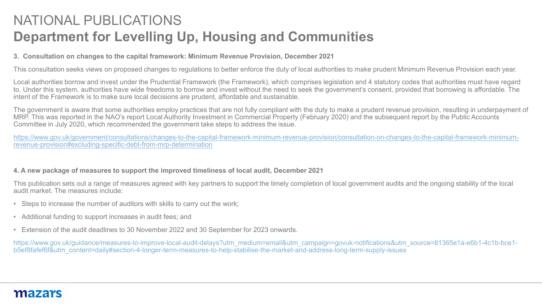# NATIONAL PUBLICATIONS **Department for Levelling Up, Housing and Communities**

#### **3. Consultation on changes to the capital framework: Minimum Revenue Provision, December 2021**

This consultation seeks views on proposed changes to regulations to better enforce the duty of local authorities to make prudent Minimum Revenue Provision each year.

Local authorities borrow and invest under the Prudential Framework (the Framework), which comprises legislation and 4 statutory codes that authorities must have regard to. Under this system, authorities have wide freedoms to borrow and invest without the need to seek the government's consent, provided that borrowing is affordable. The intent of the Framework is to make sure local decisions are prudent, affordable and sustainable.

The government is aware that some authorities employ practices that are not fully compliant with the duty to make a prudent revenue provision, resulting in underpayment of MRP. This was reported in the NAO's report Local Authority Investment in Commercial Property (February 2020) and the subsequent report by the Public Accounts Committee in July 2020, which recommended the government take steps to address the issue.

[https://www.gov.uk/government/consultations/changes-to-the-capital-framework-minimum-revenue-provision/consultation-on-changes-to-the-capital-framework-minimum](https://www.gov.uk/government/consultations/changes-to-the-capital-framework-minimum-revenue-provision/consultation-on-changes-to-the-capital-framework-minimum-revenue-provision#excluding-specific-debt-from-mrp-determination)revenue-provision#excluding-specific-debt-from-mrp-determination

#### **4. A new package of measures to support the improved timeliness of local audit, December 2021**

This publication sets out a range of measures agreed with key partners to support the timely completion of local government audits and the ongoing stability of the local audit market. The measures include:

- Steps to increase the number of auditors with skills to carry out the work;
- Additional funding to support increases in audit fees; and
- Extension of the audit deadlines to 30 November 2022 and 30 September for 2023 onwards.

https://www.gov.uk/quidance/measures-to-improve-local-audit-delays?utm\_medium=email&utm\_campaign=govuk-notifications&utm\_source=81365e1a-e6b1-4c1b-bce1b5ef8fafef6f&utm\_content=daily#section-4-longer-term-measures-to-help-stabilise-the-market-and-address-long-term-supply-issues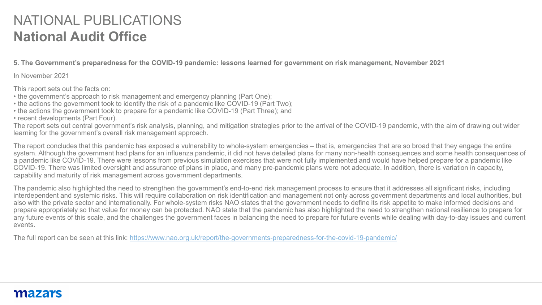# NATIONAL PUBLICATIONS **National Audit Office**

**5. The Government's preparedness for the COVID-19 pandemic: lessons learned for government on risk management, November 2021**

In November 2021

This report sets out the facts on:

- the government's approach to risk management and emergency planning (Part One);
- the actions the government took to identify the risk of a pandemic like COVID-19 (Part Two);
- the actions the government took to prepare for a pandemic like COVID-19 (Part Three); and
- recent developments (Part Four).

The report sets out central government's risk analysis, planning, and mitigation strategies prior to the arrival of the COVID-19 pandemic, with the aim of drawing out wider learning for the government's overall risk management approach.

The report concludes that this pandemic has exposed a vulnerability to whole-system emergencies – that is, emergencies that are so broad that they engage the entire system. Although the government had plans for an influenza pandemic, it did not have detailed plans for many non-health consequences and some health consequences of a pandemic like COVID-19. There were lessons from previous simulation exercises that were not fully implemented and would have helped prepare for a pandemic like COVID-19. There was limited oversight and assurance of plans in place, and many pre-pandemic plans were not adequate. In addition, there is variation in capacity, capability and maturity of risk management across government departments.

The pandemic also highlighted the need to strengthen the government's end-to-end risk management process to ensure that it addresses all significant risks, including interdependent and systemic risks. This will require collaboration on risk identification and management not only across government departments and local authorities, but also with the private sector and internationally. For whole-system risks NAO states that the government needs to define its risk appetite to make informed decisions and prepare appropriately so that value for money can be protected. NAO state that the pandemic has also highlighted the need to strengthen national resilience to prepare for any future events of this scale, and the challenges the government faces in balancing the need to prepare for future events while dealing with day-to-day issues and current events.

The full report can be seen at this link: <https://www.nao.org.uk/report/the-governments-preparedness-for-the-covid-19-pandemic/>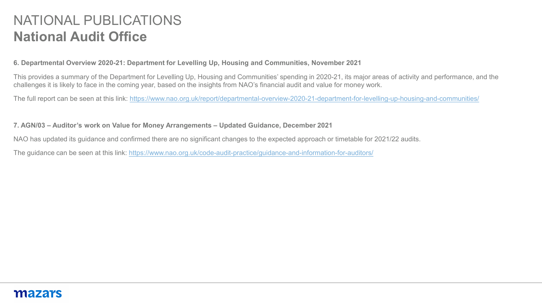# NATIONAL PUBLICATIONS **National Audit Office**

#### **6. Departmental Overview 2020-21: Department for Levelling Up, Housing and Communities, November 2021**

This provides a summary of the Department for Levelling Up, Housing and Communities' spending in 2020-21, its major areas of activity and performance, and the challenges it is likely to face in the coming year, based on the insights from NAO's financial audit and value for money work.

The full report can be seen at this link: <https://www.nao.org.uk/report/departmental-overview-2020-21-department-for-levelling-up-housing-and-communities/>

**7. AGN/03 – Auditor's work on Value for Money Arrangements – Updated Guidance, December 2021**

NAO has updated its guidance and confirmed there are no significant changes to the expected approach or timetable for 2021/22 audits.

The guidance can be seen at this link:<https://www.nao.org.uk/code-audit-practice/guidance-and-information-for-auditors/>